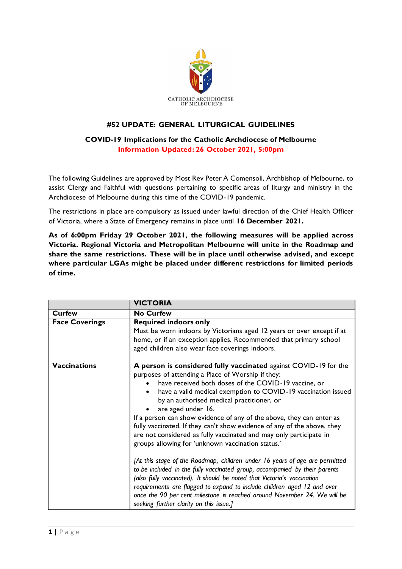

# **#52 UPDATE: GENERAL LITURGICAL GUIDELINES**

# **COVID-19 Implications for the Catholic Archdiocese of Melbourne Information Updated: 26 October 2021, 5:00pm**

The following Guidelines are approved by Most Rev Peter A Comensoli, Archbishop of Melbourne, to assist Clergy and Faithful with questions pertaining to specific areas of liturgy and ministry in the Archdiocese of Melbourne during this time of the COVID-19 pandemic.

The restrictions in place are compulsory as issued under lawful direction of the Chief Health Officer of Victoria, where a State of Emergency remains in place until **16 December 2021.**

**As of 6:00pm Friday 29 October 2021, the following measures will be applied across Victoria. Regional Victoria and Metropolitan Melbourne will unite in the Roadmap and share the same restrictions. These will be in place until otherwise advised, and except where particular LGAs might be placed under different restrictions for limited periods of time.**

|                       | <b>VICTORIA</b>                                                                                                                                                                                                                                                                                                                                                                                                                                                                                                                                                                                                                                                                                                                                                                                                                                                                                                                                                                                                                           |
|-----------------------|-------------------------------------------------------------------------------------------------------------------------------------------------------------------------------------------------------------------------------------------------------------------------------------------------------------------------------------------------------------------------------------------------------------------------------------------------------------------------------------------------------------------------------------------------------------------------------------------------------------------------------------------------------------------------------------------------------------------------------------------------------------------------------------------------------------------------------------------------------------------------------------------------------------------------------------------------------------------------------------------------------------------------------------------|
| <b>Curfew</b>         | <b>No Curfew</b>                                                                                                                                                                                                                                                                                                                                                                                                                                                                                                                                                                                                                                                                                                                                                                                                                                                                                                                                                                                                                          |
| <b>Face Coverings</b> | <b>Required indoors only</b><br>Must be worn indoors by Victorians aged 12 years or over except if at<br>home, or if an exception applies. Recommended that primary school<br>aged children also wear face coverings indoors.                                                                                                                                                                                                                                                                                                                                                                                                                                                                                                                                                                                                                                                                                                                                                                                                             |
| <b>Vaccinations</b>   | A person is considered fully vaccinated against COVID-19 for the<br>purposes of attending a Place of Worship if they:<br>have received both doses of the COVID-19 vaccine, or<br>have a valid medical exemption to COVID-19 vaccination issued<br>by an authorised medical practitioner, or<br>are aged under 16.<br>If a person can show evidence of any of the above, they can enter as<br>fully vaccinated. If they can't show evidence of any of the above, they<br>are not considered as fully vaccinated and may only participate in<br>groups allowing for 'unknown vaccination status.'<br>[At this stage of the Roadmap, children under 16 years of age are permitted<br>to be included in the fully vaccinated group, accompanied by their parents<br>(also fully vaccinated). It should be noted that Victoria's vaccination<br>requirements are flagged to expand to include children aged 12 and over<br>once the 90 per cent milestone is reached around November 24. We will be<br>seeking further clarity on this issue.] |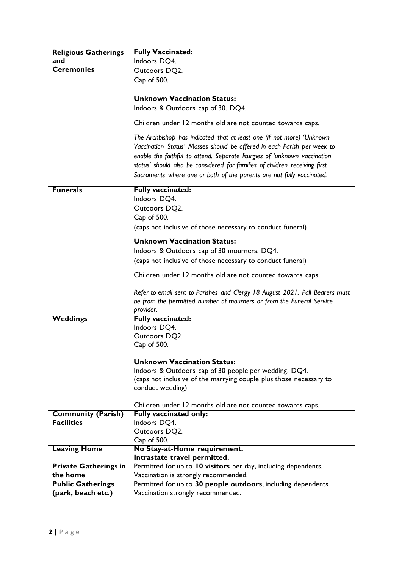| <b>Religious Gatherings</b>  | <b>Fully Vaccinated:</b>                                                                                                                                                                                                                                                                                                                                                             |
|------------------------------|--------------------------------------------------------------------------------------------------------------------------------------------------------------------------------------------------------------------------------------------------------------------------------------------------------------------------------------------------------------------------------------|
| and                          | Indoors DQ4.                                                                                                                                                                                                                                                                                                                                                                         |
| <b>Ceremonies</b>            | Outdoors DQ2.                                                                                                                                                                                                                                                                                                                                                                        |
|                              | Cap of 500.                                                                                                                                                                                                                                                                                                                                                                          |
|                              |                                                                                                                                                                                                                                                                                                                                                                                      |
|                              | <b>Unknown Vaccination Status:</b>                                                                                                                                                                                                                                                                                                                                                   |
|                              | Indoors & Outdoors cap of 30. DQ4.                                                                                                                                                                                                                                                                                                                                                   |
|                              |                                                                                                                                                                                                                                                                                                                                                                                      |
|                              | Children under 12 months old are not counted towards caps.                                                                                                                                                                                                                                                                                                                           |
|                              | The Archbishop has indicated that at least one (if not more) 'Unknown<br>Vaccination Status' Masses should be offered in each Parish per week to<br>enable the faithful to attend. Separate liturgies of 'unknown vaccination<br>status' should also be considered for families of children receiving first<br>Sacraments where one or both of the parents are not fully vaccinated. |
| <b>Funerals</b>              | <b>Fully vaccinated:</b>                                                                                                                                                                                                                                                                                                                                                             |
|                              | Indoors DQ4.                                                                                                                                                                                                                                                                                                                                                                         |
|                              | Outdoors DQ2.                                                                                                                                                                                                                                                                                                                                                                        |
|                              | Cap of 500.                                                                                                                                                                                                                                                                                                                                                                          |
|                              | (caps not inclusive of those necessary to conduct funeral)                                                                                                                                                                                                                                                                                                                           |
|                              |                                                                                                                                                                                                                                                                                                                                                                                      |
|                              | <b>Unknown Vaccination Status:</b>                                                                                                                                                                                                                                                                                                                                                   |
|                              | Indoors & Outdoors cap of 30 mourners. DQ4.                                                                                                                                                                                                                                                                                                                                          |
|                              | (caps not inclusive of those necessary to conduct funeral)                                                                                                                                                                                                                                                                                                                           |
|                              | Children under 12 months old are not counted towards caps.                                                                                                                                                                                                                                                                                                                           |
|                              | Refer to email sent to Parishes and Clergy 18 August 2021. Pall Bearers must<br>be from the permitted number of mourners or from the Funeral Service<br>provider.                                                                                                                                                                                                                    |
| <b>Weddings</b>              | <b>Fully vaccinated:</b>                                                                                                                                                                                                                                                                                                                                                             |
|                              | Indoors DQ4.                                                                                                                                                                                                                                                                                                                                                                         |
|                              | Outdoors DQ2.                                                                                                                                                                                                                                                                                                                                                                        |
|                              | Cap of 500.                                                                                                                                                                                                                                                                                                                                                                          |
|                              |                                                                                                                                                                                                                                                                                                                                                                                      |
|                              | <b>Unknown Vaccination Status:</b>                                                                                                                                                                                                                                                                                                                                                   |
|                              | Indoors & Outdoors cap of 30 people per wedding. DQ4.                                                                                                                                                                                                                                                                                                                                |
|                              | (caps not inclusive of the marrying couple plus those necessary to                                                                                                                                                                                                                                                                                                                   |
|                              | conduct wedding)                                                                                                                                                                                                                                                                                                                                                                     |
|                              |                                                                                                                                                                                                                                                                                                                                                                                      |
|                              | Children under 12 months old are not counted towards caps.                                                                                                                                                                                                                                                                                                                           |
| <b>Community (Parish)</b>    | <b>Fully vaccinated only:</b>                                                                                                                                                                                                                                                                                                                                                        |
| <b>Facilities</b>            | Indoors DQ4.                                                                                                                                                                                                                                                                                                                                                                         |
|                              | Outdoors DQ2.<br>Cap of 500.                                                                                                                                                                                                                                                                                                                                                         |
| <b>Leaving Home</b>          | No Stay-at-Home requirement.                                                                                                                                                                                                                                                                                                                                                         |
|                              | Intrastate travel permitted.                                                                                                                                                                                                                                                                                                                                                         |
| <b>Private Gatherings in</b> | Permitted for up to 10 visitors per day, including dependents.                                                                                                                                                                                                                                                                                                                       |
| the home                     | Vaccination is strongly recommended.                                                                                                                                                                                                                                                                                                                                                 |
| <b>Public Gatherings</b>     | Permitted for up to 30 people outdoors, including dependents.                                                                                                                                                                                                                                                                                                                        |
| (park, beach etc.)           | Vaccination strongly recommended.                                                                                                                                                                                                                                                                                                                                                    |
|                              |                                                                                                                                                                                                                                                                                                                                                                                      |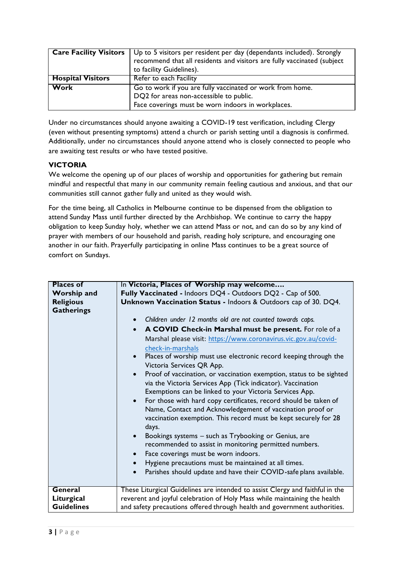| <b>Care Facility Visitors</b> | Up to 5 visitors per resident per day (dependants included). Strongly<br>recommend that all residents and visitors are fully vaccinated (subject<br>to facility Guidelines). |
|-------------------------------|------------------------------------------------------------------------------------------------------------------------------------------------------------------------------|
| <b>Hospital Visitors</b>      | Refer to each Facility                                                                                                                                                       |
| Work                          | Go to work if you are fully vaccinated or work from home.<br>DQ2 for areas non-accessible to public.<br>Face coverings must be worn indoors in workplaces.                   |

Under no circumstances should anyone awaiting a COVID-19 test verification, including Clergy (even without presenting symptoms) attend a church or parish setting until a diagnosis is confirmed. Additionally, under no circumstances should anyone attend who is closely connected to people who are awaiting test results or who have tested positive.

# **VICTORIA**

We welcome the opening up of our places of worship and opportunities for gathering but remain mindful and respectful that many in our community remain feeling cautious and anxious, and that our communities still cannot gather fully and united as they would wish.

For the time being, all Catholics in Melbourne continue to be dispensed from the obligation to attend Sunday Mass until further directed by the Archbishop. We continue to carry the happy obligation to keep Sunday holy, whether we can attend Mass or not, and can do so by any kind of prayer with members of our household and parish, reading holy scripture, and encouraging one another in our faith. Prayerfully participating in online Mass continues to be a great source of comfort on Sundays.

| <b>Places of</b>   |                                                                                                                                                                                                           |
|--------------------|-----------------------------------------------------------------------------------------------------------------------------------------------------------------------------------------------------------|
|                    | In Victoria, Places of Worship may welcome                                                                                                                                                                |
| <b>Worship and</b> | Fully Vaccinated - Indoors DQ4 - Outdoors DQ2 - Cap of 500.                                                                                                                                               |
| <b>Religious</b>   | Unknown Vaccination Status - Indoors & Outdoors cap of 30. DQ4.                                                                                                                                           |
| <b>Gatherings</b>  |                                                                                                                                                                                                           |
|                    | Children under 12 months old are not counted towards caps.<br>A COVID Check-in Marshal must be present. For role of a<br>Marshal please visit: https://www.coronavirus.vic.gov.au/covid-                  |
|                    | check-in-marshals                                                                                                                                                                                         |
|                    | Places of worship must use electronic record keeping through the<br>Victoria Services QR App.                                                                                                             |
|                    | Proof of vaccination, or vaccination exemption, status to be sighted<br>via the Victoria Services App (Tick indicator). Vaccination<br>Exemptions can be linked to your Victoria Services App.            |
|                    | For those with hard copy certificates, record should be taken of<br>Name, Contact and Acknowledgement of vaccination proof or<br>vaccination exemption. This record must be kept securely for 28<br>days. |
|                    | Bookings systems - such as Trybooking or Genius, are<br>recommended to assist in monitoring permitted numbers.                                                                                            |
|                    | Face coverings must be worn indoors.                                                                                                                                                                      |
|                    | Hygiene precautions must be maintained at all times.<br>$\bullet$                                                                                                                                         |
|                    |                                                                                                                                                                                                           |
|                    | Parishes should update and have their COVID-safe plans available.<br>$\bullet$                                                                                                                            |
| General            | These Liturgical Guidelines are intended to assist Clergy and faithful in the                                                                                                                             |
| Liturgical         | reverent and joyful celebration of Holy Mass while maintaining the health                                                                                                                                 |
| <b>Guidelines</b>  | and safety precautions offered through health and government authorities.                                                                                                                                 |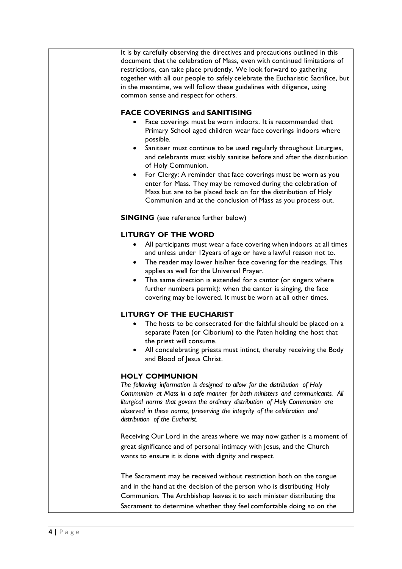It is by carefully observing the directives and precautions outlined in this document that the celebration of Mass, even with continued limitations of restrictions, can take place prudently. We look forward to gathering together with all our people to safely celebrate the Eucharistic Sacrifice, but in the meantime, we will follow these guidelines with diligence, using common sense and respect for others.

#### **FACE COVERINGS and SANITISING**

- Face coverings must be worn indoors. It is recommended that Primary School aged children wear face coverings indoors where possible.
- Sanitiser must continue to be used regularly throughout Liturgies, and celebrants must visibly sanitise before and after the distribution of Holy Communion.
- For Clergy: A reminder that face coverings must be worn as you enter for Mass. They may be removed during the celebration of Mass but are to be placed back on for the distribution of Holy Communion and at the conclusion of Mass as you process out.

**SINGING** (see reference further below)

#### **LITURGY OF THE WORD**

- All participants must wear a face covering when indoors at all times and unless under 12years of age or have a lawful reason not to.
- The reader may lower his/her face covering for the readings. This applies as well for the Universal Prayer.
- This same direction is extended for a cantor (or singers where further numbers permit): when the cantor is singing, the face covering may be lowered. It must be worn at all other times.

## **LITURGY OF THE EUCHARIST**

- The hosts to be consecrated for the faithful should be placed on a separate Paten (or Ciborium) to the Paten holding the host that the priest will consume.
- All concelebrating priests must intinct, thereby receiving the Body and Blood of Jesus Christ.

## **HOLY COMMUNION**

*The following information is designed to allow for the distribution of Holy Communion at Mass in a safe manner for both ministers and communicants. All liturgical norms that govern the ordinary distribution of Holy Communion are observed in these norms, preserving the integrity of the celebration and distribution of the Eucharist.*

Receiving Our Lord in the areas where we may now gather is a moment of great significance and of personal intimacy with Jesus, and the Church wants to ensure it is done with dignity and respect.

The Sacrament may be received without restriction both on the tongue and in the hand at the decision of the person who is distributing Holy Communion. The Archbishop leaves it to each minister distributing the Sacrament to determine whether they feel comfortable doing so on the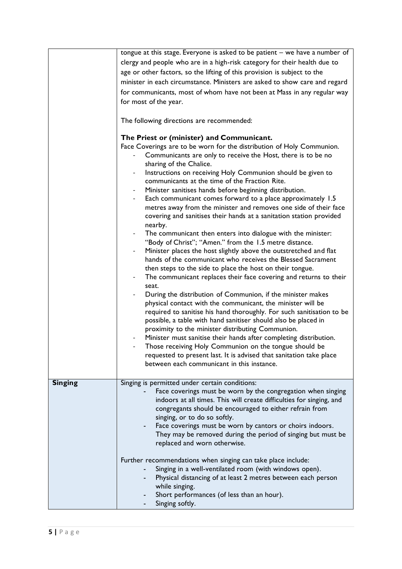|                | tongue at this stage. Everyone is asked to be patient - we have a number of                                                 |
|----------------|-----------------------------------------------------------------------------------------------------------------------------|
|                | clergy and people who are in a high-risk category for their health due to                                                   |
|                | age or other factors, so the lifting of this provision is subject to the                                                    |
|                |                                                                                                                             |
|                | minister in each circumstance. Ministers are asked to show care and regard                                                  |
|                | for communicants, most of whom have not been at Mass in any regular way                                                     |
|                | for most of the year.                                                                                                       |
|                |                                                                                                                             |
|                | The following directions are recommended:                                                                                   |
|                |                                                                                                                             |
|                | The Priest or (minister) and Communicant.                                                                                   |
|                | Face Coverings are to be worn for the distribution of Holy Communion.                                                       |
|                | Communicants are only to receive the Host, there is to be no                                                                |
|                | sharing of the Chalice.                                                                                                     |
|                | Instructions on receiving Holy Communion should be given to                                                                 |
|                | communicants at the time of the Fraction Rite.                                                                              |
|                | Minister sanitises hands before beginning distribution.                                                                     |
|                | Each communicant comes forward to a place approximately 1.5                                                                 |
|                | metres away from the minister and removes one side of their face                                                            |
|                | covering and sanitises their hands at a sanitation station provided                                                         |
|                | nearby.                                                                                                                     |
|                | The communicant then enters into dialogue with the minister:<br>$\qquad \qquad \blacksquare$                                |
|                | "Body of Christ"; "Amen." from the 1.5 metre distance.<br>Minister places the host slightly above the outstretched and flat |
|                | hands of the communicant who receives the Blessed Sacrament                                                                 |
|                | then steps to the side to place the host on their tongue.                                                                   |
|                | The communicant replaces their face covering and returns to their                                                           |
|                | seat.                                                                                                                       |
|                | During the distribution of Communion, if the minister makes                                                                 |
|                | physical contact with the communicant, the minister will be                                                                 |
|                | required to sanitise his hand thoroughly. For such sanitisation to be                                                       |
|                | possible, a table with hand sanitiser should also be placed in                                                              |
|                | proximity to the minister distributing Communion.                                                                           |
|                | Minister must sanitise their hands after completing distribution.                                                           |
|                | Those receiving Holy Communion on the tongue should be                                                                      |
|                | requested to present last. It is advised that sanitation take place                                                         |
|                | between each communicant in this instance.                                                                                  |
|                |                                                                                                                             |
| <b>Singing</b> | Singing is permitted under certain conditions:                                                                              |
|                | Face coverings must be worn by the congregation when singing                                                                |
|                | indoors at all times. This will create difficulties for singing, and                                                        |
|                | congregants should be encouraged to either refrain from                                                                     |
|                | singing, or to do so softly.                                                                                                |
|                | Face coverings must be worn by cantors or choirs indoors.                                                                   |
|                | They may be removed during the period of singing but must be                                                                |
|                | replaced and worn otherwise.                                                                                                |
|                |                                                                                                                             |
|                | Further recommendations when singing can take place include:                                                                |
|                | Singing in a well-ventilated room (with windows open).                                                                      |
|                | Physical distancing of at least 2 metres between each person                                                                |
|                | while singing.                                                                                                              |
|                | Short performances (of less than an hour).                                                                                  |
|                | Singing softly.                                                                                                             |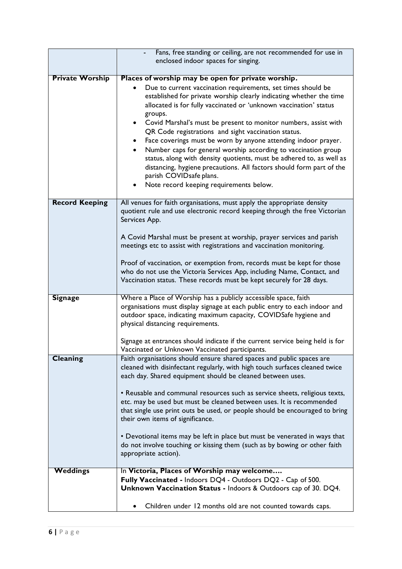|                        | Fans, free standing or ceiling, are not recommended for use in                                                                                                                                                                                                                                                                                                                                                                                                                                                                                                                                                                                                                                                                                                                               |
|------------------------|----------------------------------------------------------------------------------------------------------------------------------------------------------------------------------------------------------------------------------------------------------------------------------------------------------------------------------------------------------------------------------------------------------------------------------------------------------------------------------------------------------------------------------------------------------------------------------------------------------------------------------------------------------------------------------------------------------------------------------------------------------------------------------------------|
|                        | enclosed indoor spaces for singing.                                                                                                                                                                                                                                                                                                                                                                                                                                                                                                                                                                                                                                                                                                                                                          |
|                        |                                                                                                                                                                                                                                                                                                                                                                                                                                                                                                                                                                                                                                                                                                                                                                                              |
| <b>Private Worship</b> | Places of worship may be open for private worship.<br>Due to current vaccination requirements, set times should be<br>established for private worship clearly indicating whether the time<br>allocated is for fully vaccinated or 'unknown vaccination' status<br>groups.<br>Covid Marshal's must be present to monitor numbers, assist with<br>$\bullet$<br>QR Code registrations and sight vaccination status.<br>Face coverings must be worn by anyone attending indoor prayer.<br>٠<br>Number caps for general worship according to vaccination group<br>$\bullet$<br>status, along with density quotients, must be adhered to, as well as<br>distancing, hygiene precautions. All factors should form part of the<br>parish COVIDsafe plans.<br>Note record keeping requirements below. |
| <b>Record Keeping</b>  | All venues for faith organisations, must apply the appropriate density<br>quotient rule and use electronic record keeping through the free Victorian<br>Services App.                                                                                                                                                                                                                                                                                                                                                                                                                                                                                                                                                                                                                        |
|                        | A Covid Marshal must be present at worship, prayer services and parish<br>meetings etc to assist with registrations and vaccination monitoring.                                                                                                                                                                                                                                                                                                                                                                                                                                                                                                                                                                                                                                              |
|                        | Proof of vaccination, or exemption from, records must be kept for those<br>who do not use the Victoria Services App, including Name, Contact, and<br>Vaccination status. These records must be kept securely for 28 days.                                                                                                                                                                                                                                                                                                                                                                                                                                                                                                                                                                    |
| <b>Signage</b>         | Where a Place of Worship has a publicly accessible space, faith                                                                                                                                                                                                                                                                                                                                                                                                                                                                                                                                                                                                                                                                                                                              |
|                        | organisations must display signage at each public entry to each indoor and<br>outdoor space, indicating maximum capacity, COVIDSafe hygiene and<br>physical distancing requirements.                                                                                                                                                                                                                                                                                                                                                                                                                                                                                                                                                                                                         |
|                        | Signage at entrances should indicate if the current service being held is for<br>Vaccinated or Unknown Vaccinated participants.                                                                                                                                                                                                                                                                                                                                                                                                                                                                                                                                                                                                                                                              |
| Cleaning               | Faith organisations should ensure shared spaces and public spaces are<br>cleaned with disinfectant regularly, with high touch surfaces cleaned twice<br>each day. Shared equipment should be cleaned between uses.                                                                                                                                                                                                                                                                                                                                                                                                                                                                                                                                                                           |
|                        | • Reusable and communal resources such as service sheets, religious texts,<br>etc. may be used but must be cleaned between uses. It is recommended<br>that single use print outs be used, or people should be encouraged to bring<br>their own items of significance.                                                                                                                                                                                                                                                                                                                                                                                                                                                                                                                        |
|                        | • Devotional items may be left in place but must be venerated in ways that<br>do not involve touching or kissing them (such as by bowing or other faith<br>appropriate action).                                                                                                                                                                                                                                                                                                                                                                                                                                                                                                                                                                                                              |
| Weddings               | In Victoria, Places of Worship may welcome                                                                                                                                                                                                                                                                                                                                                                                                                                                                                                                                                                                                                                                                                                                                                   |
|                        | Fully Vaccinated - Indoors DQ4 - Outdoors DQ2 - Cap of 500.<br>Unknown Vaccination Status - Indoors & Outdoors cap of 30. DQ4.                                                                                                                                                                                                                                                                                                                                                                                                                                                                                                                                                                                                                                                               |
|                        | Children under 12 months old are not counted towards caps.                                                                                                                                                                                                                                                                                                                                                                                                                                                                                                                                                                                                                                                                                                                                   |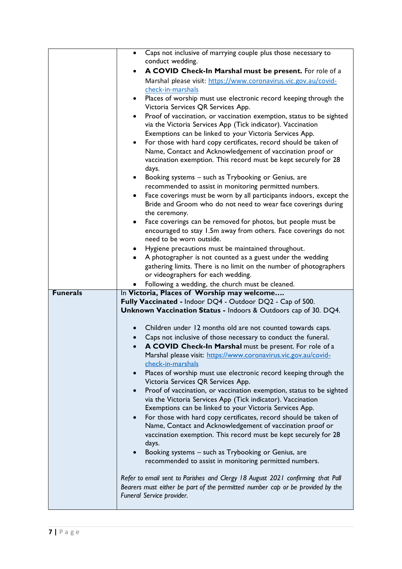|                 | Caps not inclusive of marrying couple plus those necessary to<br>$\bullet$                                                          |
|-----------------|-------------------------------------------------------------------------------------------------------------------------------------|
|                 | conduct wedding.                                                                                                                    |
|                 | A COVID Check-In Marshal must be present. For role of a                                                                             |
|                 | Marshal please visit: https://www.coronavirus.vic.gov.au/covid-                                                                     |
|                 | check-in-marshals                                                                                                                   |
|                 | Places of worship must use electronic record keeping through the<br>$\bullet$                                                       |
|                 | Victoria Services QR Services App.                                                                                                  |
|                 | Proof of vaccination, or vaccination exemption, status to be sighted<br>via the Victoria Services App (Tick indicator). Vaccination |
|                 | Exemptions can be linked to your Victoria Services App.                                                                             |
|                 | For those with hard copy certificates, record should be taken of<br>$\bullet$                                                       |
|                 | Name, Contact and Acknowledgement of vaccination proof or                                                                           |
|                 | vaccination exemption. This record must be kept securely for 28                                                                     |
|                 | days.                                                                                                                               |
|                 | Booking systems - such as Trybooking or Genius, are                                                                                 |
|                 | recommended to assist in monitoring permitted numbers.                                                                              |
|                 | Face coverings must be worn by all participants indoors, except the<br>٠                                                            |
|                 | Bride and Groom who do not need to wear face coverings during                                                                       |
|                 | the ceremony.                                                                                                                       |
|                 | Face coverings can be removed for photos, but people must be                                                                        |
|                 | encouraged to stay 1.5m away from others. Face coverings do not                                                                     |
|                 | need to be worn outside.                                                                                                            |
|                 | Hygiene precautions must be maintained throughout.                                                                                  |
|                 | A photographer is not counted as a guest under the wedding<br>$\bullet$                                                             |
|                 | gathering limits. There is no limit on the number of photographers                                                                  |
|                 | or videographers for each wedding.                                                                                                  |
|                 |                                                                                                                                     |
|                 | Following a wedding, the church must be cleaned.                                                                                    |
| <b>Funerals</b> | In Victoria, Places of Worship may welcome                                                                                          |
|                 | Fully Vaccinated - Indoor DQ4 - Outdoor DQ2 - Cap of 500.                                                                           |
|                 | Unknown Vaccination Status - Indoors & Outdoors cap of 30. DQ4.                                                                     |
|                 |                                                                                                                                     |
|                 | Children under 12 months old are not counted towards caps.                                                                          |
|                 | Caps not inclusive of those necessary to conduct the funeral.<br>$\bullet$                                                          |
|                 | A COVID Check-In Marshal must be present. For role of a                                                                             |
|                 | Marshal please visit: https://www.coronavirus.vic.gov.au/covid-<br>check-in-marshals                                                |
|                 |                                                                                                                                     |
|                 | Places of worship must use electronic record keeping through the<br>Victoria Services QR Services App.                              |
|                 | Proof of vaccination, or vaccination exemption, status to be sighted<br>$\bullet$                                                   |
|                 | via the Victoria Services App (Tick indicator). Vaccination                                                                         |
|                 | Exemptions can be linked to your Victoria Services App.                                                                             |
|                 | For those with hard copy certificates, record should be taken of<br>$\bullet$                                                       |
|                 | Name, Contact and Acknowledgement of vaccination proof or                                                                           |
|                 | vaccination exemption. This record must be kept securely for 28                                                                     |
|                 | days.                                                                                                                               |
|                 | Booking systems - such as Trybooking or Genius, are                                                                                 |
|                 | recommended to assist in monitoring permitted numbers.                                                                              |
|                 |                                                                                                                                     |
|                 | Refer to email sent to Parishes and Clergy 18 August 2021 confirming that Pall                                                      |
|                 | Bearers must either be part of the permitted number cap or be provided by the<br>Funeral Service provider.                          |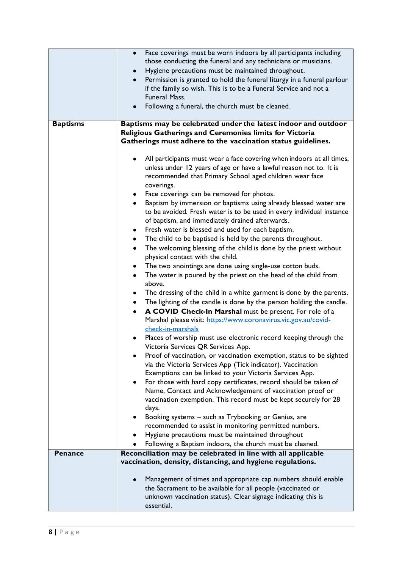| <b>Baptisms</b> | Face coverings must be worn indoors by all participants including<br>$\bullet$<br>those conducting the funeral and any technicians or musicians.<br>Hygiene precautions must be maintained throughout.<br>$\bullet$<br>Permission is granted to hold the funeral liturgy in a funeral parlour<br>$\bullet$<br>if the family so wish. This is to be a Funeral Service and not a<br><b>Funeral Mass.</b><br>Following a funeral, the church must be cleaned.<br>$\bullet$<br>Baptisms may be celebrated under the latest indoor and outdoor<br>Religious Gatherings and Ceremonies limits for Victoria<br>Gatherings must adhere to the vaccination status guidelines.                                                                                                                                                                                                                                                                                                                                                                                                                                                                                                                                                                                                                                                                                                                                                                                                                                                                                                                                                                                                                                                                                                                                                                                                                                                              |
|-----------------|-----------------------------------------------------------------------------------------------------------------------------------------------------------------------------------------------------------------------------------------------------------------------------------------------------------------------------------------------------------------------------------------------------------------------------------------------------------------------------------------------------------------------------------------------------------------------------------------------------------------------------------------------------------------------------------------------------------------------------------------------------------------------------------------------------------------------------------------------------------------------------------------------------------------------------------------------------------------------------------------------------------------------------------------------------------------------------------------------------------------------------------------------------------------------------------------------------------------------------------------------------------------------------------------------------------------------------------------------------------------------------------------------------------------------------------------------------------------------------------------------------------------------------------------------------------------------------------------------------------------------------------------------------------------------------------------------------------------------------------------------------------------------------------------------------------------------------------------------------------------------------------------------------------------------------------|
|                 | All participants must wear a face covering when indoors at all times,<br>unless under 12 years of age or have a lawful reason not to. It is<br>recommended that Primary School aged children wear face<br>coverings.<br>Face coverings can be removed for photos.<br>$\bullet$<br>Baptism by immersion or baptisms using already blessed water are<br>$\bullet$<br>to be avoided. Fresh water is to be used in every individual instance<br>of baptism, and immediately drained afterwards.<br>Fresh water is blessed and used for each baptism.<br>٠<br>The child to be baptised is held by the parents throughout.<br>٠<br>The welcoming blessing of the child is done by the priest without<br>$\bullet$<br>physical contact with the child.<br>The two anointings are done using single-use cotton buds.<br>٠<br>The water is poured by the priest on the head of the child from<br>٠<br>above.<br>The dressing of the child in a white garment is done by the parents.<br>٠<br>The lighting of the candle is done by the person holding the candle.<br>$\bullet$<br>A COVID Check-In Marshal must be present. For role of a<br>Marshal please visit: https://www.coronavirus.vic.gov.au/covid-<br>check-in-marshals<br>Places of worship must use electronic record keeping through the<br>Victoria Services QR Services App.<br>Proof of vaccination, or vaccination exemption, status to be sighted<br>via the Victoria Services App (Tick indicator). Vaccination<br>Exemptions can be linked to your Victoria Services App.<br>For those with hard copy certificates, record should be taken of<br>٠<br>Name, Contact and Acknowledgement of vaccination proof or<br>vaccination exemption. This record must be kept securely for 28<br>days.<br>Booking systems - such as Trybooking or Genius, are<br>recommended to assist in monitoring permitted numbers.<br>Hygiene precautions must be maintained throughout<br>٠ |
|                 | Following a Baptism indoors, the church must be cleaned.                                                                                                                                                                                                                                                                                                                                                                                                                                                                                                                                                                                                                                                                                                                                                                                                                                                                                                                                                                                                                                                                                                                                                                                                                                                                                                                                                                                                                                                                                                                                                                                                                                                                                                                                                                                                                                                                          |
| <b>Penance</b>  | Reconciliation may be celebrated in line with all applicable<br>vaccination, density, distancing, and hygiene regulations.<br>Management of times and appropriate cap numbers should enable<br>the Sacrament to be available for all people (vaccinated or<br>unknown vaccination status). Clear signage indicating this is<br>essential.                                                                                                                                                                                                                                                                                                                                                                                                                                                                                                                                                                                                                                                                                                                                                                                                                                                                                                                                                                                                                                                                                                                                                                                                                                                                                                                                                                                                                                                                                                                                                                                         |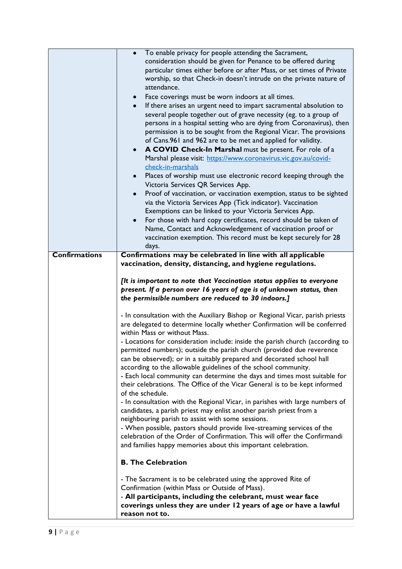|                      | To enable privacy for people attending the Sacrament,<br>consideration should be given for Penance to be offered during<br>particular times either before or after Mass, or set times of Private<br>worship, so that Check-in doesn't intrude on the private nature of<br>attendance.<br>Face coverings must be worn indoors at all times.<br>٠<br>If there arises an urgent need to impart sacramental absolution to<br>several people together out of grave necessity (eg. to a group of<br>persons in a hospital setting who are dying from Coronavirus), then<br>permission is to be sought from the Regional Vicar. The provisions<br>of Cans.961 and 962 are to be met and applied for validity.<br>A COVID Check-In Marshal must be present. For role of a<br>$\bullet$<br>Marshal please visit: https://www.coronavirus.vic.gov.au/covid-<br>check-in-marshals<br>Places of worship must use electronic record keeping through the<br>٠<br>Victoria Services QR Services App.<br>Proof of vaccination, or vaccination exemption, status to be sighted<br>$\bullet$<br>via the Victoria Services App (Tick indicator). Vaccination<br>Exemptions can be linked to your Victoria Services App.<br>For those with hard copy certificates, record should be taken of<br>Name, Contact and Acknowledgement of vaccination proof or<br>vaccination exemption. This record must be kept securely for 28<br>days. |
|----------------------|-------------------------------------------------------------------------------------------------------------------------------------------------------------------------------------------------------------------------------------------------------------------------------------------------------------------------------------------------------------------------------------------------------------------------------------------------------------------------------------------------------------------------------------------------------------------------------------------------------------------------------------------------------------------------------------------------------------------------------------------------------------------------------------------------------------------------------------------------------------------------------------------------------------------------------------------------------------------------------------------------------------------------------------------------------------------------------------------------------------------------------------------------------------------------------------------------------------------------------------------------------------------------------------------------------------------------------------------------------------------------------------------------------------------|
| <b>Confirmations</b> | Confirmations may be celebrated in line with all applicable                                                                                                                                                                                                                                                                                                                                                                                                                                                                                                                                                                                                                                                                                                                                                                                                                                                                                                                                                                                                                                                                                                                                                                                                                                                                                                                                                       |
|                      | vaccination, density, distancing, and hygiene regulations.                                                                                                                                                                                                                                                                                                                                                                                                                                                                                                                                                                                                                                                                                                                                                                                                                                                                                                                                                                                                                                                                                                                                                                                                                                                                                                                                                        |
|                      | [It is important to note that Vaccination status applies to everyone<br>present. If a person over 16 years of age is of unknown status, then<br>the permissible numbers are reduced to 30 indoors.]                                                                                                                                                                                                                                                                                                                                                                                                                                                                                                                                                                                                                                                                                                                                                                                                                                                                                                                                                                                                                                                                                                                                                                                                               |
|                      | - In consultation with the Auxiliary Bishop or Regional Vicar, parish priests<br>are delegated to determine locally whether Confirmation will be conferred<br>within Mass or without Mass.                                                                                                                                                                                                                                                                                                                                                                                                                                                                                                                                                                                                                                                                                                                                                                                                                                                                                                                                                                                                                                                                                                                                                                                                                        |
|                      | - Locations for consideration include: inside the parish church (according to<br>permitted numbers); outside the parish church (provided due reverence<br>can be observed); or in a suitably prepared and decorated school hall<br>according to the allowable guidelines of the school community.<br>- Each local community can determine the days and times most suitable for<br>their celebrations. The Office of the Vicar General is to be kept informed                                                                                                                                                                                                                                                                                                                                                                                                                                                                                                                                                                                                                                                                                                                                                                                                                                                                                                                                                      |
|                      | of the schedule.<br>- In consultation with the Regional Vicar, in parishes with large numbers of<br>candidates, a parish priest may enlist another parish priest from a<br>neighbouring parish to assist with some sessions.                                                                                                                                                                                                                                                                                                                                                                                                                                                                                                                                                                                                                                                                                                                                                                                                                                                                                                                                                                                                                                                                                                                                                                                      |
|                      | - When possible, pastors should provide live-streaming services of the<br>celebration of the Order of Confirmation. This will offer the Confirmandi<br>and families happy memories about this important celebration.                                                                                                                                                                                                                                                                                                                                                                                                                                                                                                                                                                                                                                                                                                                                                                                                                                                                                                                                                                                                                                                                                                                                                                                              |
|                      | <b>B. The Celebration</b>                                                                                                                                                                                                                                                                                                                                                                                                                                                                                                                                                                                                                                                                                                                                                                                                                                                                                                                                                                                                                                                                                                                                                                                                                                                                                                                                                                                         |
|                      | - The Sacrament is to be celebrated using the approved Rite of                                                                                                                                                                                                                                                                                                                                                                                                                                                                                                                                                                                                                                                                                                                                                                                                                                                                                                                                                                                                                                                                                                                                                                                                                                                                                                                                                    |
|                      | Confirmation (within Mass or Outside of Mass).<br>- All participants, including the celebrant, must wear face                                                                                                                                                                                                                                                                                                                                                                                                                                                                                                                                                                                                                                                                                                                                                                                                                                                                                                                                                                                                                                                                                                                                                                                                                                                                                                     |
|                      | coverings unless they are under 12 years of age or have a lawful<br>reason not to.                                                                                                                                                                                                                                                                                                                                                                                                                                                                                                                                                                                                                                                                                                                                                                                                                                                                                                                                                                                                                                                                                                                                                                                                                                                                                                                                |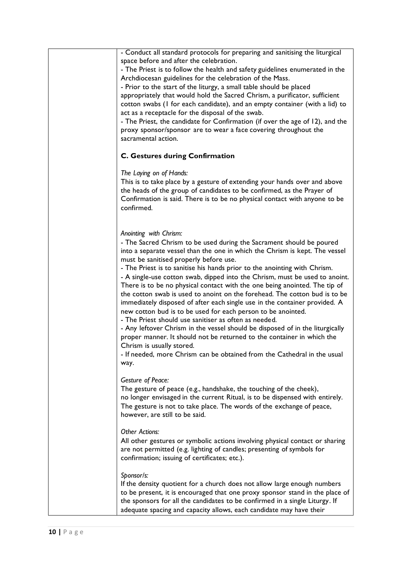| - Conduct all standard protocols for preparing and sanitising the liturgical<br>space before and after the celebration.<br>- The Priest is to follow the health and safety guidelines enumerated in the<br>Archdiocesan guidelines for the celebration of the Mass.<br>- Prior to the start of the liturgy, a small table should be placed<br>appropriately that would hold the Sacred Chrism, a purificator, sufficient                                           |
|--------------------------------------------------------------------------------------------------------------------------------------------------------------------------------------------------------------------------------------------------------------------------------------------------------------------------------------------------------------------------------------------------------------------------------------------------------------------|
| cotton swabs (I for each candidate), and an empty container (with a lid) to                                                                                                                                                                                                                                                                                                                                                                                        |
| act as a receptacle for the disposal of the swab.                                                                                                                                                                                                                                                                                                                                                                                                                  |
| - The Priest, the candidate for Confirmation (if over the age of 12), and the<br>proxy sponsor/sponsor are to wear a face covering throughout the<br>sacramental action.                                                                                                                                                                                                                                                                                           |
| <b>C. Gestures during Confirmation</b>                                                                                                                                                                                                                                                                                                                                                                                                                             |
| The Laying on of Hands:<br>This is to take place by a gesture of extending your hands over and above<br>the heads of the group of candidates to be confirmed, as the Prayer of<br>Confirmation is said. There is to be no physical contact with anyone to be<br>confirmed.                                                                                                                                                                                         |
| Anointing with Chrism:<br>- The Sacred Chrism to be used during the Sacrament should be poured<br>into a separate vessel than the one in which the Chrism is kept. The vessel<br>must be sanitised properly before use.                                                                                                                                                                                                                                            |
| - The Priest is to sanitise his hands prior to the anointing with Chrism.<br>- A single-use cotton swab, dipped into the Chrism, must be used to anoint.<br>There is to be no physical contact with the one being anointed. The tip of<br>the cotton swab is used to anoint on the forehead. The cotton bud is to be<br>immediately disposed of after each single use in the container provided. A<br>new cotton bud is to be used for each person to be anointed. |
| - The Priest should use sanitiser as often as needed.<br>- Any leftover Chrism in the vessel should be disposed of in the liturgically<br>proper manner. It should not be returned to the container in which the<br>Chrism is usually stored.                                                                                                                                                                                                                      |
| - If needed, more Chrism can be obtained from the Cathedral in the usual<br>way.                                                                                                                                                                                                                                                                                                                                                                                   |
| <b>Gesture of Peace:</b><br>The gesture of peace (e.g., handshake, the touching of the cheek),<br>no longer envisaged in the current Ritual, is to be dispensed with entirely.<br>The gesture is not to take place. The words of the exchange of peace,<br>however, are still to be said.                                                                                                                                                                          |
| Other Actions:<br>All other gestures or symbolic actions involving physical contact or sharing<br>are not permitted (e.g. lighting of candles; presenting of symbols for<br>confirmation; issuing of certificates; etc.).                                                                                                                                                                                                                                          |
| Sponsor/s:<br>If the density quotient for a church does not allow large enough numbers<br>to be present, it is encouraged that one proxy sponsor stand in the place of<br>the sponsors for all the candidates to be confirmed in a single Liturgy. If<br>adequate spacing and capacity allows, each candidate may have their                                                                                                                                       |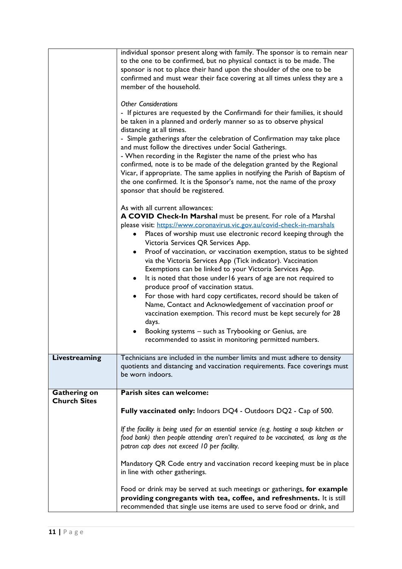|                                            | individual sponsor present along with family. The sponsor is to remain near<br>to the one to be confirmed, but no physical contact is to be made. The<br>sponsor is not to place their hand upon the shoulder of the one to be<br>confirmed and must wear their face covering at all times unless they are a<br>member of the household.<br><b>Other Considerations</b><br>- If pictures are requested by the Confirmandi for their families, it should<br>be taken in a planned and orderly manner so as to observe physical<br>distancing at all times.<br>- Simple gatherings after the celebration of Confirmation may take place<br>and must follow the directives under Social Gatherings.<br>- When recording in the Register the name of the priest who has<br>confirmed, note is to be made of the delegation granted by the Regional<br>Vicar, if appropriate. The same applies in notifying the Parish of Baptism of<br>the one confirmed. It is the Sponsor's name, not the name of the proxy<br>sponsor that should be registered.<br>As with all current allowances:<br>A COVID Check-In Marshal must be present. For role of a Marshal<br>please visit: https://www.coronavirus.vic.gov.au/covid-check-in-marshals<br>Places of worship must use electronic record keeping through the<br>Victoria Services QR Services App.<br>Proof of vaccination, or vaccination exemption, status to be sighted<br>٠<br>via the Victoria Services App (Tick indicator). Vaccination<br>Exemptions can be linked to your Victoria Services App.<br>It is noted that those under 16 years of age are not required to<br>٠<br>produce proof of vaccination status.<br>For those with hard copy certificates, record should be taken of<br>$\bullet$<br>Name, Contact and Acknowledgement of vaccination proof or<br>vaccination exemption. This record must be kept securely for 28<br>days.<br>Booking systems - such as Trybooking or Genius, are<br>recommended to assist in monitoring permitted numbers. |
|--------------------------------------------|----------------------------------------------------------------------------------------------------------------------------------------------------------------------------------------------------------------------------------------------------------------------------------------------------------------------------------------------------------------------------------------------------------------------------------------------------------------------------------------------------------------------------------------------------------------------------------------------------------------------------------------------------------------------------------------------------------------------------------------------------------------------------------------------------------------------------------------------------------------------------------------------------------------------------------------------------------------------------------------------------------------------------------------------------------------------------------------------------------------------------------------------------------------------------------------------------------------------------------------------------------------------------------------------------------------------------------------------------------------------------------------------------------------------------------------------------------------------------------------------------------------------------------------------------------------------------------------------------------------------------------------------------------------------------------------------------------------------------------------------------------------------------------------------------------------------------------------------------------------------------------------------------------------------------------------------------------------------------------------------------------------|
| Livestreaming                              | Technicians are included in the number limits and must adhere to density<br>quotients and distancing and vaccination requirements. Face coverings must<br>be worn indoors.                                                                                                                                                                                                                                                                                                                                                                                                                                                                                                                                                                                                                                                                                                                                                                                                                                                                                                                                                                                                                                                                                                                                                                                                                                                                                                                                                                                                                                                                                                                                                                                                                                                                                                                                                                                                                                     |
| <b>Gathering on</b><br><b>Church Sites</b> | Parish sites can welcome:                                                                                                                                                                                                                                                                                                                                                                                                                                                                                                                                                                                                                                                                                                                                                                                                                                                                                                                                                                                                                                                                                                                                                                                                                                                                                                                                                                                                                                                                                                                                                                                                                                                                                                                                                                                                                                                                                                                                                                                      |
|                                            | Fully vaccinated only: Indoors DQ4 - Outdoors DQ2 - Cap of 500.                                                                                                                                                                                                                                                                                                                                                                                                                                                                                                                                                                                                                                                                                                                                                                                                                                                                                                                                                                                                                                                                                                                                                                                                                                                                                                                                                                                                                                                                                                                                                                                                                                                                                                                                                                                                                                                                                                                                                |
|                                            | If the facility is being used for an essential service (e.g. hosting a soup kitchen or<br>food bank) then people attending aren't required to be vaccinated, as long as the<br>patron cap does not exceed 10 per facility.                                                                                                                                                                                                                                                                                                                                                                                                                                                                                                                                                                                                                                                                                                                                                                                                                                                                                                                                                                                                                                                                                                                                                                                                                                                                                                                                                                                                                                                                                                                                                                                                                                                                                                                                                                                     |
|                                            | Mandatory QR Code entry and vaccination record keeping must be in place<br>in line with other gatherings.                                                                                                                                                                                                                                                                                                                                                                                                                                                                                                                                                                                                                                                                                                                                                                                                                                                                                                                                                                                                                                                                                                                                                                                                                                                                                                                                                                                                                                                                                                                                                                                                                                                                                                                                                                                                                                                                                                      |
|                                            | Food or drink may be served at such meetings or gatherings, for example<br>providing congregants with tea, coffee, and refreshments. It is still<br>recommended that single use items are used to serve food or drink, and                                                                                                                                                                                                                                                                                                                                                                                                                                                                                                                                                                                                                                                                                                                                                                                                                                                                                                                                                                                                                                                                                                                                                                                                                                                                                                                                                                                                                                                                                                                                                                                                                                                                                                                                                                                     |